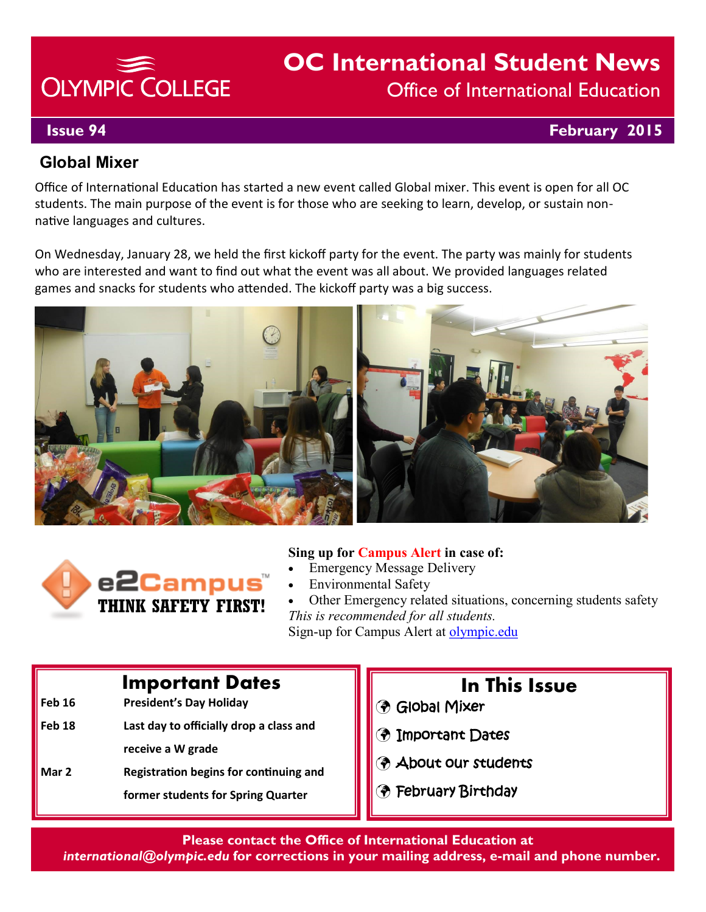# **OLYMPIC COLLEGE**

# **OC International Student News** Office of International Education

## **Issue 94 February 2015**

# **Global Mixer**

Office of International Education has started a new event called Global mixer. This event is open for all OC students. The main purpose of the event is for those who are seeking to learn, develop, or sustain nonnative languages and cultures.

On Wednesday, January 28, we held the first kickoff party for the event. The party was mainly for students who are interested and want to find out what the event was all about. We provided languages related games and snacks for students who attended. The kickoff party was a big success.





#### **Sing up for Campus Alert in case of:**

- Emergency Message Delivery
- Environmental Safety

 Other Emergency related situations, concerning students safety *This is recommended for all students.*  Sign-up for Campus Alert at olympic.edu

# **Important Dates**

- **Feb 16 President's Day Holiday**
- **Feb 18 Last day to officially drop a class and receive a W grade**
- **Mar 2 Registration begins for continuing and former students for Spring Quarter**

# **In This Issue**

- Global Mixer
- Important Dates
- About our students
- February Birthday

#### **Please contact the Office of International Education at**

*international@olympic.edu* **for corrections in your mailing address, e-mail and phone number.**